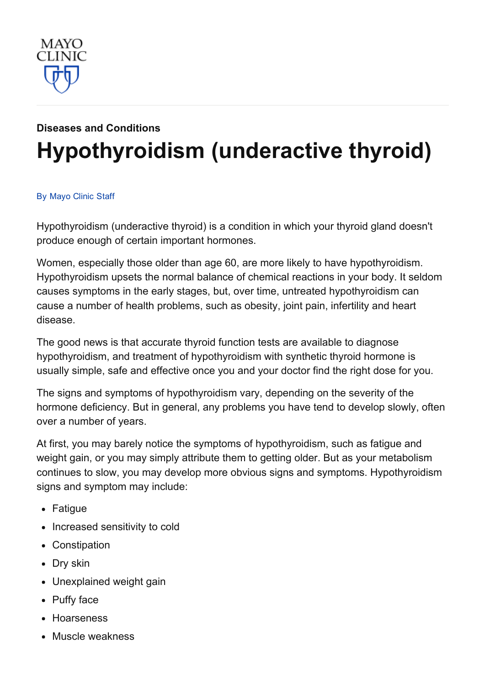

# Diseases and [Conditions](http://www.mayoclinic.org/diseases-conditions) [Hypothyroidism](http://www.mayoclinic.org/diseases-conditions/hypothyroidism/basics/definition/con-20021179) (underactive thyroid)

#### By [Mayo](http://www.mayoclinic.org/about-this-site/welcome) Clinic Staff

Hypothyroidism (underactive thyroid) is a condition in which your thyroid gland doesn't produce enough of certain important hormones.

Women, especially those older than age 60, are more likely to have hypothyroidism. Hypothyroidism upsets the normal balance of chemical reactions in your body. It seldom causes symptoms in the early stages, but, over time, untreated hypothyroidism can cause a number of health problems, such as obesity, joint pain, infertility and heart disease.

The good news is that accurate thyroid function tests are available to diagnose hypothyroidism, and treatment of hypothyroidism with synthetic thyroid hormone is usually simple, safe and effective once you and your doctor find the right dose for you.

The signs and symptoms of hypothyroidism vary, depending on the severity of the hormone deficiency. But in general, any problems you have tend to develop slowly, often over a number of years.

At first, you may barely notice the symptoms of hypothyroidism, such as fatigue and weight gain, or you may simply attribute them to getting older. But as your metabolism continues to slow, you may develop more obvious signs and symptoms. Hypothyroidism signs and symptom may include:

- Fatigue
- Increased sensitivity to cold
- Constipation
- Dry skin
- Unexplained weight gain
- Puffy face
- Hoarseness
- Muscle weakness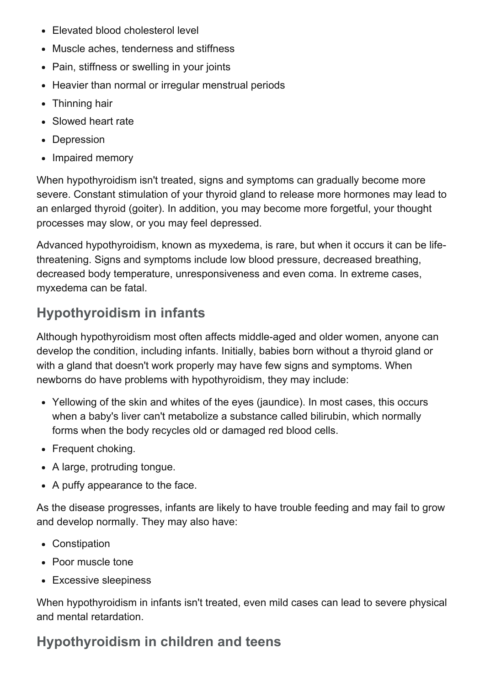- Elevated blood cholesterol level
- Muscle aches, tenderness and stiffness
- Pain, stiffness or swelling in your joints
- Heavier than normal or irregular menstrual periods
- Thinning hair
- Slowed heart rate  $\bullet$
- Depression
- Impaired memory

When hypothyroidism isn't treated, signs and symptoms can gradually become more severe. Constant stimulation of your thyroid gland to release more hormones may lead to an enlarged thyroid (goiter). In addition, you may become more forgetful, your thought processes may slow, or you may feel depressed.

Advanced hypothyroidism, known as myxedema, is rare, but when it occurs it can be lifethreatening. Signs and symptoms include low blood pressure, decreased breathing, decreased body temperature, unresponsiveness and even coma. In extreme cases, myxedema can be fatal.

# Hypothyroidism in infants

Although hypothyroidism most often affects middle-aged and older women, anyone can develop the condition, including infants. Initially, babies born without a thyroid gland or with a gland that doesn't work properly may have few signs and symptoms. When newborns do have problems with hypothyroidism, they may include:

- Yellowing of the skin and whites of the eyes (jaundice). In most cases, this occurs when a baby's liver can't metabolize a substance called bilirubin, which normally forms when the body recycles old or damaged red blood cells.
- Frequent choking.
- A large, protruding tongue.
- A puffy appearance to the face.

As the disease progresses, infants are likely to have trouble feeding and may fail to grow and develop normally. They may also have:

- Constipation
- Poor muscle tone
- Excessive sleepiness

When hypothyroidism in infants isn't treated, even mild cases can lead to severe physical and mental retardation.

## Hypothyroidism in children and teens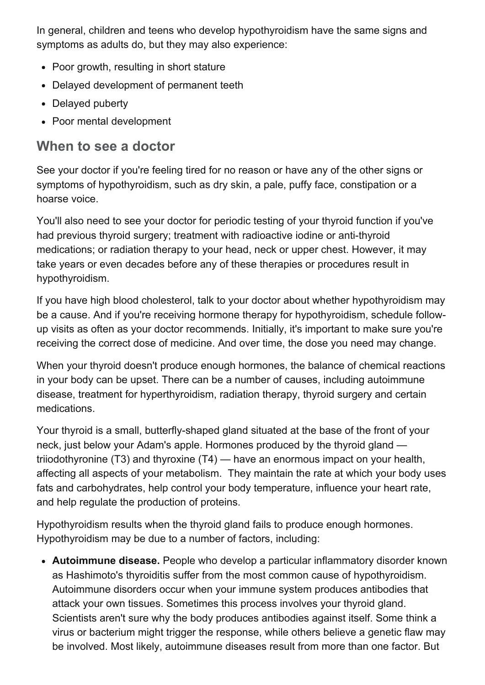In general, children and teens who develop hypothyroidism have the same signs and symptoms as adults do, but they may also experience:

- Poor growth, resulting in short stature
- Delayed development of permanent teeth
- Delayed puberty
- Poor mental development

#### When to see a doctor

See your doctor if you're feeling tired for no reason or have any of the other signs or symptoms of hypothyroidism, such as dry skin, a pale, puffy face, constipation or a hoarse voice.

You'll also need to see your doctor for periodic testing of your thyroid function if you've had previous thyroid surgery; treatment with radioactive iodine or anti-thyroid medications; or radiation therapy to your head, neck or upper chest. However, it may take years or even decades before any of these therapies or procedures result in hypothyroidism.

If you have high blood cholesterol, talk to your doctor about whether hypothyroidism may be a cause. And if you're receiving hormone therapy for hypothyroidism, schedule followup visits as often as your doctor recommends. Initially, it's important to make sure you're receiving the correct dose of medicine. And over time, the dose you need may change.

When your thyroid doesn't produce enough hormones, the balance of chemical reactions in your body can be upset. There can be a number of causes, including autoimmune disease, treatment for hyperthyroidism, radiation therapy, thyroid surgery and certain medications.

Your thyroid is a small, butterfly-shaped gland situated at the base of the front of your neck, just below your Adam's apple. Hormones produced by the thyroid gland triiodothyronine (T3) and thyroxine (T4) — have an enormous impact on your health, affecting all aspects of your metabolism. They maintain the rate at which your body uses fats and carbohydrates, help control your body temperature, influence your heart rate, and help regulate the production of proteins.

Hypothyroidism results when the thyroid gland fails to produce enough hormones. Hypothyroidism may be due to a number of factors, including:

• Autoimmune disease. People who develop a particular inflammatory disorder known as Hashimoto's thyroiditis suffer from the most common cause of hypothyroidism. Autoimmune disorders occur when your immune system produces antibodies that attack your own tissues. Sometimes this process involves your thyroid gland. Scientists aren't sure why the body produces antibodies against itself. Some think a virus or bacterium might trigger the response, while others believe a genetic flaw may be involved. Most likely, autoimmune diseases result from more than one factor. But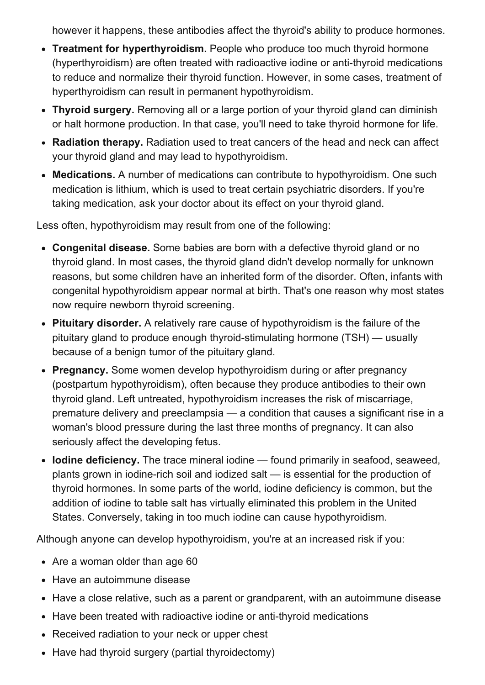however it happens, these antibodies affect the thyroid's ability to produce hormones.

- Treatment for hyperthyroidism. People who produce too much thyroid hormone (hyperthyroidism) are often treated with radioactive iodine or anti-thyroid medications to reduce and normalize their thyroid function. However, in some cases, treatment of hyperthyroidism can result in permanent hypothyroidism.
- Thyroid surgery. Removing all or a large portion of your thyroid gland can diminish or halt hormone production. In that case, you'll need to take thyroid hormone for life.
- Radiation therapy. Radiation used to treat cancers of the head and neck can affect your thyroid gland and may lead to hypothyroidism.
- Medications. A number of medications can contribute to hypothyroidism. One such medication is lithium, which is used to treat certain psychiatric disorders. If you're taking medication, ask your doctor about its effect on your thyroid gland.

Less often, hypothyroidism may result from one of the following:

- Congenital disease. Some babies are born with a defective thyroid gland or no thyroid gland. In most cases, the thyroid gland didn't develop normally for unknown reasons, but some children have an inherited form of the disorder. Often, infants with congenital hypothyroidism appear normal at birth. That's one reason why most states now require newborn thyroid screening.
- Pituitary disorder. A relatively rare cause of hypothyroidism is the failure of the pituitary gland to produce enough thyroid-stimulating hormone (TSH) — usually because of a benign tumor of the pituitary gland.
- Pregnancy. Some women develop hypothyroidism during or after pregnancy (postpartum hypothyroidism), often because they produce antibodies to their own thyroid gland. Left untreated, hypothyroidism increases the risk of miscarriage, premature delivery and preeclampsia — a condition that causes a significant rise in a woman's blood pressure during the last three months of pregnancy. It can also seriously affect the developing fetus.
- Iodine deficiency. The trace mineral iodine found primarily in seafood, seaweed, plants grown in iodine-rich soil and iodized salt — is essential for the production of thyroid hormones. In some parts of the world, iodine deficiency is common, but the addition of iodine to table salt has virtually eliminated this problem in the United States. Conversely, taking in too much iodine can cause hypothyroidism.

Although anyone can develop hypothyroidism, you're at an increased risk if you:

- Are a woman older than age 60
- Have an autoimmune disease
- Have a close relative, such as a parent or grandparent, with an autoimmune disease
- Have been treated with radioactive iodine or anti-thyroid medications
- Received radiation to your neck or upper chest
- Have had thyroid surgery (partial thyroidectomy)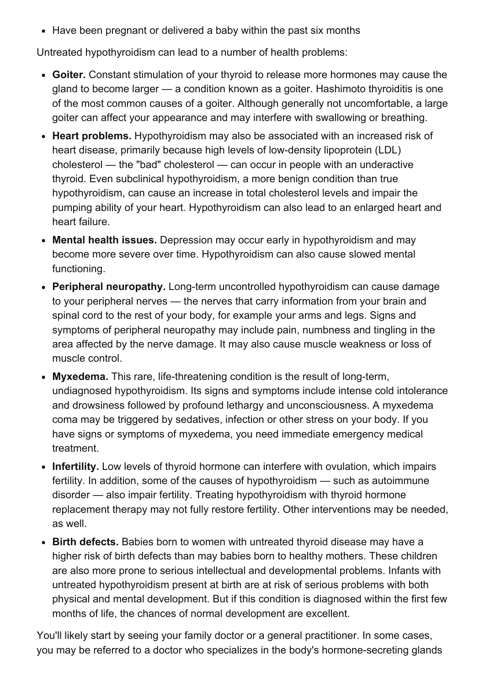• Have been pregnant or delivered a baby within the past six months

Untreated hypothyroidism can lead to a number of health problems:

- Goiter. Constant stimulation of your thyroid to release more hormones may cause the gland to become larger — a condition known as a goiter. Hashimoto thyroiditis is one of the most common causes of a goiter. Although generally not uncomfortable, a large goiter can affect your appearance and may interfere with swallowing or breathing.
- Heart problems. Hypothyroidism may also be associated with an increased risk of heart disease, primarily because high levels of low-density lipoprotein (LDL) cholesterol — the "bad" cholesterol — can occur in people with an underactive thyroid. Even subclinical hypothyroidism, a more benign condition than true hypothyroidism, can cause an increase in total cholesterol levels and impair the pumping ability of your heart. Hypothyroidism can also lead to an enlarged heart and heart failure.
- Mental health issues. Depression may occur early in hypothyroidism and may become more severe over time. Hypothyroidism can also cause slowed mental functioning.
- Peripheral neuropathy. Long-term uncontrolled hypothyroidism can cause damage to your peripheral nerves — the nerves that carry information from your brain and spinal cord to the rest of your body, for example your arms and legs. Signs and symptoms of peripheral neuropathy may include pain, numbness and tingling in the area affected by the nerve damage. It may also cause muscle weakness or loss of muscle control.
- Myxedema. This rare, life-threatening condition is the result of long-term, undiagnosed hypothyroidism. Its signs and symptoms include intense cold intolerance and drowsiness followed by profound lethargy and unconsciousness. A myxedema coma may be triggered by sedatives, infection or other stress on your body. If you have signs or symptoms of myxedema, you need immediate emergency medical treatment.
- Infertility. Low levels of thyroid hormone can interfere with ovulation, which impairs fertility. In addition, some of the causes of hypothyroidism — such as autoimmune disorder — also impair fertility. Treating hypothyroidism with thyroid hormone replacement therapy may not fully restore fertility. Other interventions may be needed, as well.
- Birth defects. Babies born to women with untreated thyroid disease may have a higher risk of birth defects than may babies born to healthy mothers. These children are also more prone to serious intellectual and developmental problems. Infants with untreated hypothyroidism present at birth are at risk of serious problems with both physical and mental development. But if this condition is diagnosed within the first few months of life, the chances of normal development are excellent.

You'll likely start by seeing your family doctor or a general practitioner. In some cases, you may be referred to a doctor who specializes in the body's hormone-secreting glands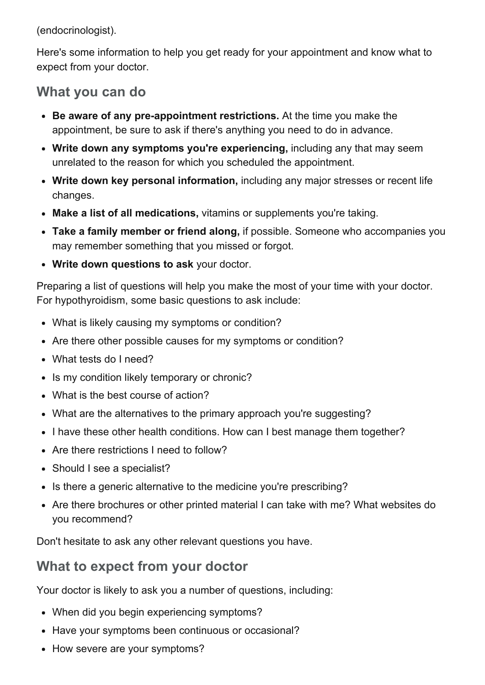(endocrinologist).

Here's some information to help you get ready for your appointment and know what to expect from your doctor.

#### What you can do

- Be aware of any pre-appointment restrictions. At the time you make the appointment, be sure to ask if there's anything you need to do in advance.
- Write down any symptoms you're experiencing, including any that may seem unrelated to the reason for which you scheduled the appointment.
- Write down key personal information, including any major stresses or recent life changes.
- Make a list of all medications, vitamins or supplements you're taking.
- Take a family member or friend along, if possible. Someone who accompanies you may remember something that you missed or forgot.
- Write down questions to ask your doctor.

Preparing a list of questions will help you make the most of your time with your doctor. For hypothyroidism, some basic questions to ask include:

- What is likely causing my symptoms or condition?
- Are there other possible causes for my symptoms or condition?
- What tests do I need?
- Is my condition likely temporary or chronic?
- What is the best course of action?
- What are the alternatives to the primary approach you're suggesting?
- I have these other health conditions. How can I best manage them together?
- Are there restrictions I need to follow?
- Should I see a specialist?
- Is there a generic alternative to the medicine you're prescribing?
- Are there brochures or other printed material I can take with me? What websites do you recommend?

Don't hesitate to ask any other relevant questions you have.

## What to expect from your doctor

Your doctor is likely to ask you a number of questions, including:

- When did you begin experiencing symptoms?
- Have your symptoms been continuous or occasional?
- How severe are your symptoms?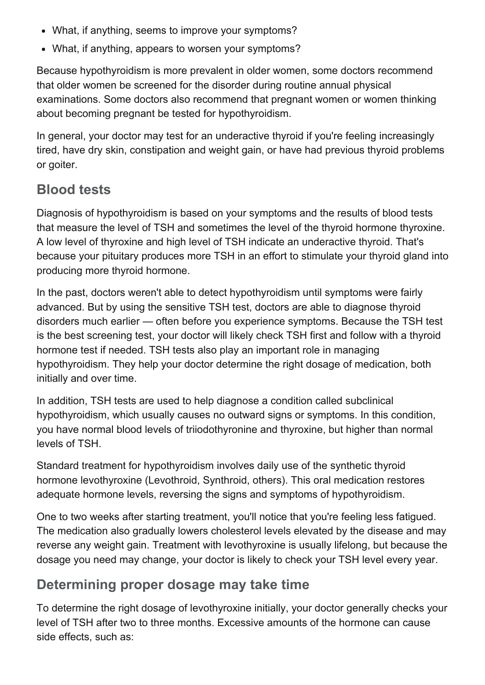- What, if anything, seems to improve your symptoms?
- What, if anything, appears to worsen your symptoms?

Because hypothyroidism is more prevalent in older women, some doctors recommend that older women be screened for the disorder during routine annual physical examinations. Some doctors also recommend that pregnant women or women thinking about becoming pregnant be tested for hypothyroidism.

In general, your doctor may test for an underactive thyroid if you're feeling increasingly tired, have dry skin, constipation and weight gain, or have had previous thyroid problems or goiter.

# Blood tests

Diagnosis of hypothyroidism is based on your symptoms and the results of blood tests that measure the level of TSH and sometimes the level of the thyroid hormone thyroxine. A low level of thyroxine and high level of TSH indicate an underactive thyroid. That's because your pituitary produces more TSH in an effort to stimulate your thyroid gland into producing more thyroid hormone.

In the past, doctors weren't able to detect hypothyroidism until symptoms were fairly advanced. But by using the sensitive TSH test, doctors are able to diagnose thyroid disorders much earlier — often before you experience symptoms. Because the TSH test is the best screening test, your doctor will likely check TSH first and follow with a thyroid hormone test if needed. TSH tests also play an important role in managing hypothyroidism. They help your doctor determine the right dosage of medication, both initially and over time.

In addition, TSH tests are used to help diagnose a condition called subclinical hypothyroidism, which usually causes no outward signs or symptoms. In this condition, you have normal blood levels of triiodothyronine and thyroxine, but higher than normal levels of TSH.

Standard treatment for hypothyroidism involves daily use of the synthetic thyroid hormone levothyroxine (Levothroid, Synthroid, others). This oral medication restores adequate hormone levels, reversing the signs and symptoms of hypothyroidism.

One to two weeks after starting treatment, you'll notice that you're feeling less fatigued. The medication also gradually lowers cholesterol levels elevated by the disease and may reverse any weight gain. Treatment with levothyroxine is usually lifelong, but because the dosage you need may change, your doctor is likely to check your TSH level every year.

## Determining proper dosage may take time

To determine the right dosage of levothyroxine initially, your doctor generally checks your level of TSH after two to three months. Excessive amounts of the hormone can cause side effects, such as: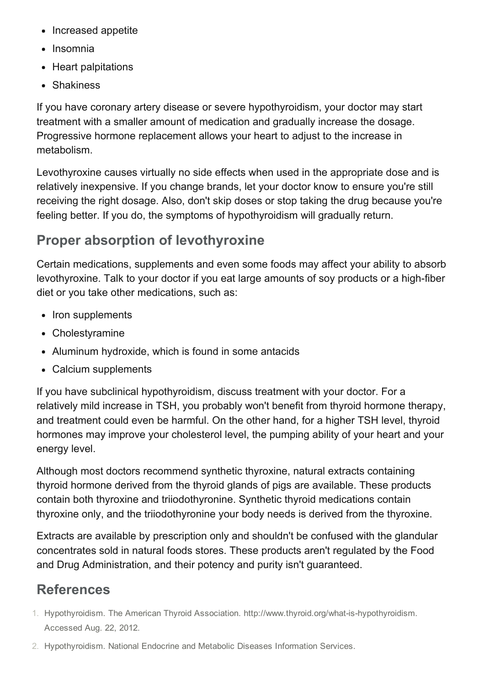- Increased appetite
- Insomnia
- Heart palpitations
- Shakiness

If you have coronary artery disease or severe hypothyroidism, your doctor may start treatment with a smaller amount of medication and gradually increase the dosage. Progressive hormone replacement allows your heart to adjust to the increase in metabolism.

Levothyroxine causes virtually no side effects when used in the appropriate dose and is relatively inexpensive. If you change brands, let your doctor know to ensure you're still receiving the right dosage. Also, don't skip doses or stop taking the drug because you're feeling better. If you do, the symptoms of hypothyroidism will gradually return.

## Proper absorption of levothyroxine

Certain medications, supplements and even some foods may affect your ability to absorb levothyroxine. Talk to your doctor if you eat large amounts of soy products or a high-fiber diet or you take other medications, such as:

- Iron supplements
- Cholestyramine
- Aluminum hydroxide, which is found in some antacids
- Calcium supplements

If you have subclinical hypothyroidism, discuss treatment with your doctor. For a relatively mild increase in TSH, you probably won't benefit from thyroid hormone therapy, and treatment could even be harmful. On the other hand, for a higher TSH level, thyroid hormones may improve your cholesterol level, the pumping ability of your heart and your energy level.

Although most doctors recommend synthetic thyroxine, natural extracts containing thyroid hormone derived from the thyroid glands of pigs are available. These products contain both thyroxine and triiodothyronine. Synthetic thyroid medications contain thyroxine only, and the triiodothyronine your body needs is derived from the thyroxine.

Extracts are available by prescription only and shouldn't be confused with the glandular concentrates sold in natural foods stores. These products aren't regulated by the Food and Drug Administration, and their potency and purity isn't guaranteed.

#### References

- 1. Hypothyroidism. The American Thyroid Association. http://www.thyroid.org/what-is-hypothyroidism. Accessed Aug. 22, 2012.
- 2. Hypothyroidism. National Endocrine and Metabolic Diseases Information Services.